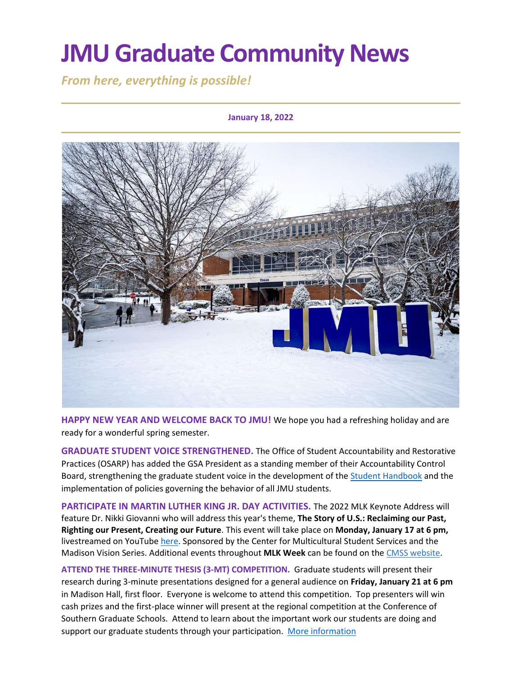# **JMU Graduate Community News**

*From here, everything is possible!*

### **January 18, 2022**



**HAPPY NEW YEAR AND WELCOME BACK TO JMU!** We hope you had a refreshing holiday and are ready for a wonderful spring semester.

**GRADUATE STUDENT VOICE STRENGTHENED.** The Office of Student Accountability and Restorative Practices (OSARP) has added the GSA President as a standing member of their Accountability Control Board, strengthening the graduate student voice in the development of the [Student Handbook](https://www.jmu.edu/osarp/handbook/index.shtml) and the implementation of policies governing the behavior of all JMU students.

**PARTICIPATE IN MARTIN LUTHER KING JR. DAY ACTIVITIES.** The 2022 MLK Keynote Address will feature Dr. Nikki Giovanni who will address this year's theme, **The Story of U.S.: Reclaiming our Past, Righting our Present, Creating our Future**. This event will take place on **Monday, January 17 at 6 pm,**  livestreamed on YouTub[e here.](https://www.youtube.com/watch?v=DMIbNmSVTwU) Sponsored by the Center for Multicultural Student Services and the Madison Vision Series. Additional events throughout **MLK Week** can be found on the [CMSS website.](https://www.jmu.edu/multicultural/mlk-week.shtml)

**ATTEND THE THREE-MINUTE THESIS (3-MT) COMPETITION.** Graduate students will present their research during 3-minute presentations designed for a general audience on **Friday, January 21 at 6 pm** in Madison Hall, first floor. Everyone is welcome to attend this competition. Top presenters will win cash prizes and the first-place winner will present at the regional competition at the Conference of Southern Graduate Schools. Attend to learn about the important work our students are doing and support our graduate students through your participation. [More information](https://www.jmu.edu/grad/current-students/three-minute-thesis.shtml)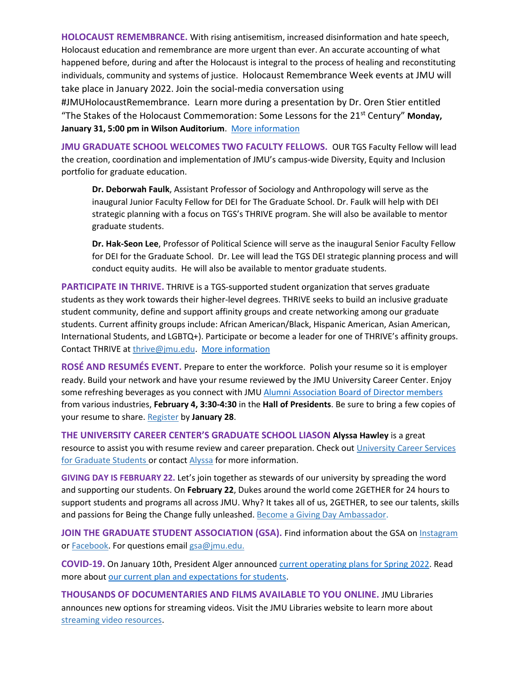**HOLOCAUST REMEMBRANCE.** With rising antisemitism, increased disinformation and hate speech, Holocaust education and remembrance are more urgent than ever. An accurate accounting of what happened before, during and after the Holocaust is integral to the process of healing and reconstituting individuals, community and systems of justice. Holocaust Remembrance Week events at JMU will take place in January 2022. Join the social-media conversation using

#JMUHolocaustRemembrance. Learn more during a presentation by Dr. Oren Stier entitled "The Stakes of the Holocaust Commemoration: Some Lessons for the 21st Century" **Monday, January 31, 5:00 pm in Wilson Auditorium**. [More information](https://www.jmu.edu/civic/holocaust-remembrance.shtml)

**JMU GRADUATE SCHOOL WELCOMES TWO FACULTY FELLOWS.** OUR TGS Faculty Fellow will lead the creation, coordination and implementation of JMU's campus-wide Diversity, Equity and Inclusion portfolio for graduate education.

**Dr. Deborwah Faulk**, Assistant Professor of Sociology and Anthropology will serve as the inaugural Junior Faculty Fellow for DEI for The Graduate School. Dr. Faulk will help with DEI strategic planning with a focus on TGS's THRIVE program. She will also be available to mentor graduate students.

**Dr. Hak-Seon Lee**, Professor of Political Science will serve as the inaugural Senior Faculty Fellow for DEI for the Graduate School. Dr. Lee will lead the TGS DEI strategic planning process and will conduct equity audits. He will also be available to mentor graduate students.

**PARTICIPATE IN THRIVE.** THRIVE is a TGS-supported student organization that serves graduate students as they work towards their higher-level degrees. THRIVE seeks to build an inclusive graduate student community, define and support affinity groups and create networking among our graduate students. Current affinity groups include: African American/Black, Hispanic American, Asian American, International Students, and LGBTQ+). Participate or become a leader for one of THRIVE's affinity groups. Contact THRIVE at [thrive@jmu.edu.](mailto:thrive@jmu.edu) [More information](https://www.jmu.edu/grad/THRIVE/index.shtml)

**ROSÉ AND RESUMÉS EVENT.** Prepare to enter the workforce. Polish your resume so it is employer ready. Build your network and have your resume reviewed by the JMU University Career Center. Enjoy some refreshing beverages as you connect with JMU [Alumni Association Board of Director members](https://www.alumni.jmu.edu/s/1591/18/interior.aspx?sid=1591&gid=3&pgid=1562) from various industries, **February 4, 3:30-4:30** in the **Hall of Presidents**. Be sure to bring a few copies of your resume to share. [Register](https://jmu.joinhandshake.com/events/922103/share_preview) by **January 28**.

**THE UNIVERSITY CAREER CENTER'S GRADUATE SCHOOL LIASON Alyssa Hawley** is a great resource to assist you with resume review and career preparation. Check out [University Career Services](https://www.jmu.edu/career/students/gradstudents/index.shtml) for Graduate Students or contact [Alyssa](mailto:adamsar@jmu.edu) for more information.

**GIVING DAY IS FEBRUARY 22.** Let's join together as stewards of our university by spreading the word and supporting our students. On **February 22**, Dukes around the world come 2GETHER for 24 hours to support students and programs all across JMU. Why? It takes all of us, 2GETHER, to see our talents, skills and passions for Being the Change fully unleashed. [Become a Giving Day Ambassador.](https://givingday.jmu.edu/)

**JOIN THE GRADUATE STUDENT ASSOCIATION (GSA).** Find information about the GSA on [Instagram](https://www.instagram.com/jmu_gsa/) or **Facebook**. For questions email [gsa@jmu.edu.](mailto:gsa@jmu.edu)

**COVID-19.** On January 10th, President Alger announce[d current operating plans for Spring 2022.](https://www.jmu.edu/news/2022/01/10-plans-for-spring-semester.shtml) Read more about [our current plan and expectations for students.](https://www.jmu.edu/stop-the-spread/operating-plan.shtml)

**THOUSANDS OF DOCUMENTARIES AND FILMS AVAILABLE TO YOU ONLINE.** JMU Libraries announces new options for streaming videos. Visit the JMU Libraries website to learn more about [streaming video resources.](https://guides.lib.jmu.edu/az.php?t=24588&utm_source=staff-monthly&utm_medium=email&utm_campaign=2021_01_06&utm_content=text_additional-streaming-video-resources)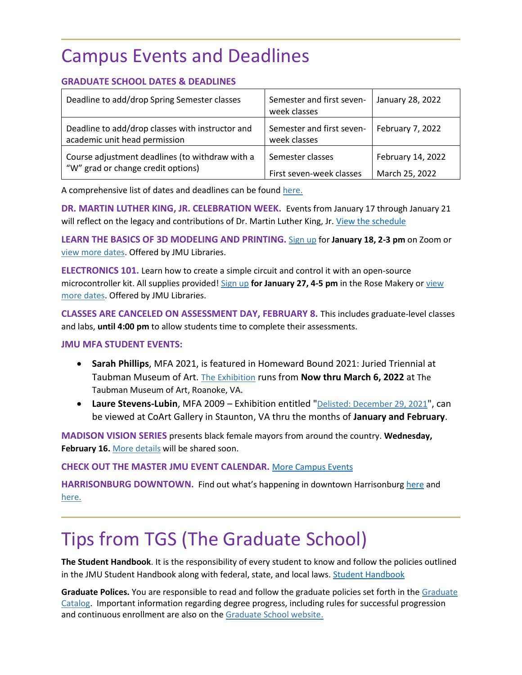# Campus Events and Deadlines

## **GRADUATE SCHOOL DATES & DEADLINES**

| Deadline to add/drop Spring Semester classes                                          | Semester and first seven-<br>week classes | January 28, 2022  |
|---------------------------------------------------------------------------------------|-------------------------------------------|-------------------|
| Deadline to add/drop classes with instructor and<br>academic unit head permission     | Semester and first seven-<br>week classes | February 7, 2022  |
| Course adjustment deadlines (to withdraw with a<br>"W" grad or change credit options) | Semester classes                          | February 14, 2022 |
|                                                                                       | First seven-week classes                  | March 25, 2022    |

A comprehensive list of dates and deadlines can be foun[d here.](https://www.jmu.edu/grad/grad-community/2021-2022_Graduate_Dates_and_Deadlines.pdf)

**DR. MARTIN LUTHER KING, JR. CELEBRATION WEEK.** Events from January 17 through January 21 will reflect on the legacy and contributions of Dr. Martin Luther King, Jr. [View the schedule](https://www.jmu.edu/multicultural/mlk-week.shtml)

**LEARN THE BASICS OF 3D MODELING AND PRINTING.** [Sign up](https://events.lib.jmu.edu/event/8550676) for **January 18, 2-3 pm** on Zoom or [view more dates.](https://www.lib.jmu.edu/makerspace-workshops-spring-2022/#threedee) Offered by JMU Libraries.

**ELECTRONICS 101.** Learn how to create a simple circuit and control it with an open-source microcontroller kit. All supplies provided! [Sign up](https://events.lib.jmu.edu/event/8550676) **for January 27, 4-5 pm** in the Rose Makery o[r view](https://www.lib.jmu.edu/makerspace-workshops-spring-2022/#threedee)  [more dates.](https://www.lib.jmu.edu/makerspace-workshops-spring-2022/#threedee) Offered by JMU Libraries.

**CLASSES ARE CANCELED ON ASSESSMENT DAY, FEBRUARY 8.** This includes graduate-level classes and labs, **until 4:00 pm** to allow students time to complete their assessments.

### **JMU MFA STUDENT EVENTS:**

- **Sarah Phillips**, MFA 2021, is featured in Homeward Bound 2021: Juried Triennial at Taubman Museum of Art. [The Exhibition](https://www.taubmanmuseum.org/calendar/12493/homeward-bound-2021-juried-triennial) runs from **Now thru March 6, 2022** at The Taubman Museum of Art, Roanoke, VA.
- **Laure Stevens-Lubin**, MFA 2009 Exhibition entitled "[Delisted: December 29, 2021](https://www.facebook.com/CoArtGallery/posts/laure-stevens-lubin-coart-featured-artist-for-january-february-depicts-several-o/5005292319502691/)", can be viewed at CoArt Gallery in Staunton, VA thru the months of **January and February**.

**MADISON VISION SERIES** presents black female mayors from around the country. **Wednesday, February 16.** [More details](https://www.jmu.edu/president/mvs/index.shtml) will be shared soon.

**CHECK OUT THE MASTER JMU EVENT CALENDAR.** [More Campus Events](https://ems.jmu.edu/MasterCalendar/MasterCalendar.aspx?_ga=2.261279492.802742690.1601384782-920476218.1518451077)

**HARRISONBURG DOWNTOWN.** Find out what's happening in downtown Harrisonburg [here](https://mailchi.mp/harrisonburgva/downtown-insider?e=1f4d635f6f) and [here.](https://www.visitharrisonburgva.com/calendar-of-events/)

# Tips from TGS (The Graduate School)

**The Student Handbook**. It is the responsibility of every student to know and follow the policies outlined in the JMU Student Handbook along with federal, state, and local laws[. Student Handbook](https://www.jmu.edu/osarp/handbook/index.shtml)

**Graduate Polices.** You are responsible to read and follow the graduate policies set forth in the [Graduate](http://jmu.edu/catalog)  [Catalog.](http://jmu.edu/catalog) Important information regarding degree progress, including rules for successful progression and continuous enrollment are also on the [Graduate School website.](https://www.jmu.edu/grad/current-students/degree-progress/index.shtml)